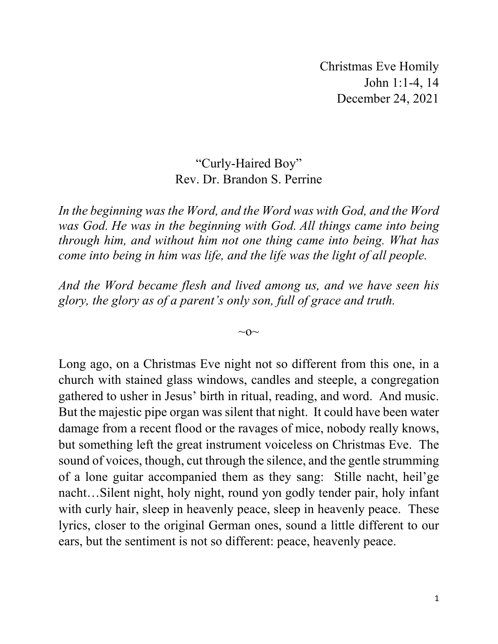Christmas Eve Homily John 1:1-4, 14 December 24, 2021

## "Curly-Haired Boy" Rev. Dr. Brandon S. Perrine

*In the beginning was the Word, and the Word was with God, and the Word was God. He was in the beginning with God. All things came into being through him, and without him not one thing came into being. What has come into being in him was life, and the life was the light of all people.*

*And the Word became flesh and lived among us, and we have seen his glory, the glory as of a parent's only son, full of grace and truth.*

 $\sim$ O $\sim$ 

Long ago, on a Christmas Eve night not so different from this one, in a church with stained glass windows, candles and steeple, a congregation gathered to usher in Jesus' birth in ritual, reading, and word. And music. But the majestic pipe organ was silent that night. It could have been water damage from a recent flood or the ravages of mice, nobody really knows, but something left the great instrument voiceless on Christmas Eve. The sound of voices, though, cut through the silence, and the gentle strumming of a lone guitar accompanied them as they sang: Stille nacht, heil'ge nacht…Silent night, holy night, round yon godly tender pair, holy infant with curly hair, sleep in heavenly peace, sleep in heavenly peace. These lyrics, closer to the original German ones, sound a little different to our ears, but the sentiment is not so different: peace, heavenly peace.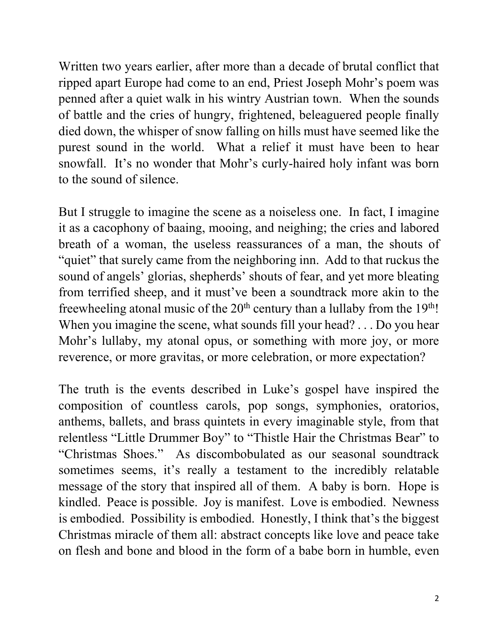Written two years earlier, after more than a decade of brutal conflict that ripped apart Europe had come to an end, Priest Joseph Mohr's poem was penned after a quiet walk in his wintry Austrian town. When the sounds of battle and the cries of hungry, frightened, beleaguered people finally died down, the whisper of snow falling on hills must have seemed like the purest sound in the world. What a relief it must have been to hear snowfall. It's no wonder that Mohr's curly-haired holy infant was born to the sound of silence.

But I struggle to imagine the scene as a noiseless one. In fact, I imagine it as a cacophony of baaing, mooing, and neighing; the cries and labored breath of a woman, the useless reassurances of a man, the shouts of "quiet" that surely came from the neighboring inn. Add to that ruckus the sound of angels' glorias, shepherds' shouts of fear, and yet more bleating from terrified sheep, and it must've been a soundtrack more akin to the freewheeling atonal music of the  $20<sup>th</sup>$  century than a lullaby from the  $19<sup>th</sup>$ ! When you imagine the scene, what sounds fill your head? . . . Do you hear Mohr's lullaby, my atonal opus, or something with more joy, or more reverence, or more gravitas, or more celebration, or more expectation?

The truth is the events described in Luke's gospel have inspired the composition of countless carols, pop songs, symphonies, oratorios, anthems, ballets, and brass quintets in every imaginable style, from that relentless "Little Drummer Boy" to "Thistle Hair the Christmas Bear" to "Christmas Shoes." As discombobulated as our seasonal soundtrack sometimes seems, it's really a testament to the incredibly relatable message of the story that inspired all of them. A baby is born. Hope is kindled. Peace is possible. Joy is manifest. Love is embodied. Newness is embodied. Possibility is embodied. Honestly, I think that's the biggest Christmas miracle of them all: abstract concepts like love and peace take on flesh and bone and blood in the form of a babe born in humble, even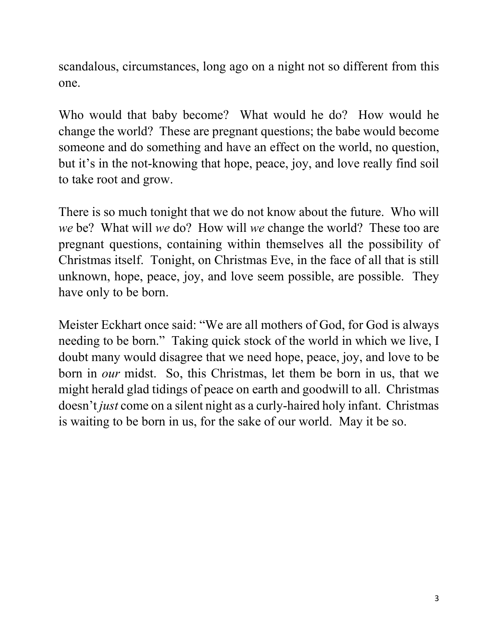scandalous, circumstances, long ago on a night not so different from this one.

Who would that baby become? What would he do? How would he change the world? These are pregnant questions; the babe would become someone and do something and have an effect on the world, no question, but it's in the not-knowing that hope, peace, joy, and love really find soil to take root and grow.

There is so much tonight that we do not know about the future. Who will *we* be? What will *we* do? How will *we* change the world? These too are pregnant questions, containing within themselves all the possibility of Christmas itself. Tonight, on Christmas Eve, in the face of all that is still unknown, hope, peace, joy, and love seem possible, are possible. They have only to be born.

Meister Eckhart once said: "We are all mothers of God, for God is always needing to be born." Taking quick stock of the world in which we live, I doubt many would disagree that we need hope, peace, joy, and love to be born in *our* midst. So, this Christmas, let them be born in us, that we might herald glad tidings of peace on earth and goodwill to all. Christmas doesn't *just* come on a silent night as a curly-haired holy infant. Christmas is waiting to be born in us, for the sake of our world. May it be so.